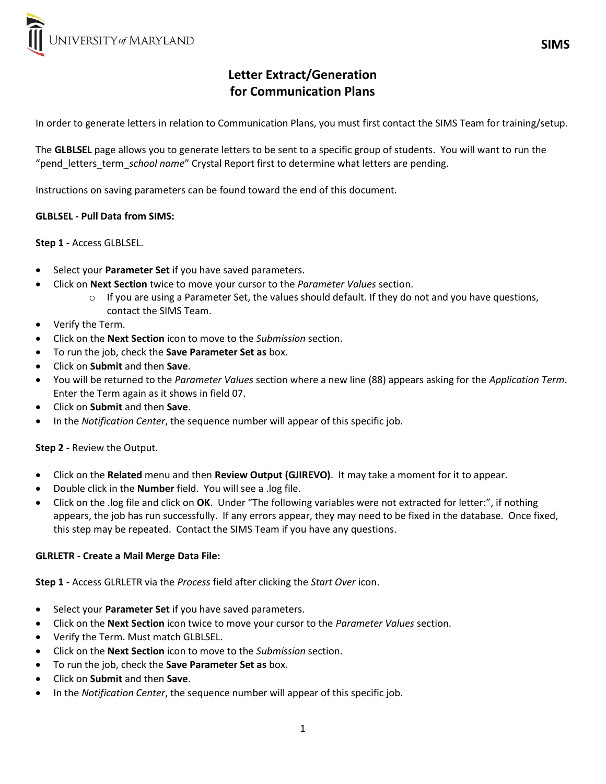

# Letter Extract/Generation for Communication Plans

In order to generate letters in relation to Communication Plans, you must first contact the SIMS Team for training/setup.

The GLBLSEL page allows you to generate letters to be sent to a specific group of students. You will want to run the "pend\_letters\_term\_school name" Crystal Report first to determine what letters are pending.

Instructions on saving parameters can be found toward the end of this document.

## GLBLSEL - Pull Data from SIMS:

## Step 1 - Access GLBLSEL.

- Select your **Parameter Set** if you have saved parameters.
- Click on Next Section twice to move your cursor to the Parameter Values section.
	- $\circ$  If you are using a Parameter Set, the values should default. If they do not and you have questions, contact the SIMS Team.
- Verify the Term.
- Click on the Next Section icon to move to the Submission section.
- To run the job, check the Save Parameter Set as box.
- Click on Submit and then Save.
- You will be returned to the Parameter Values section where a new line (88) appears asking for the Application Term. Enter the Term again as it shows in field 07.
- Click on Submit and then Save.
- In the Notification Center, the sequence number will appear of this specific job.

#### Step 2 - Review the Output.

- Click on the Related menu and then Review Output (GJIREVO). It may take a moment for it to appear.
- Double click in the Number field. You will see a .log file.
- Click on the .log file and click on OK. Under "The following variables were not extracted for letter:", if nothing appears, the job has run successfully. If any errors appear, they may need to be fixed in the database. Once fixed, this step may be repeated. Contact the SIMS Team if you have any questions.

#### GLRLETR - Create a Mail Merge Data File:

Step 1 - Access GLRLETR via the Process field after clicking the Start Over icon.

- Select your Parameter Set if you have saved parameters.
- Click on the Next Section icon twice to move your cursor to the Parameter Values section.
- Verify the Term. Must match GLBLSEL.
- Click on the Next Section icon to move to the Submission section.
- To run the job, check the Save Parameter Set as box.
- Click on Submit and then Save.
- In the *Notification Center*, the sequence number will appear of this specific job.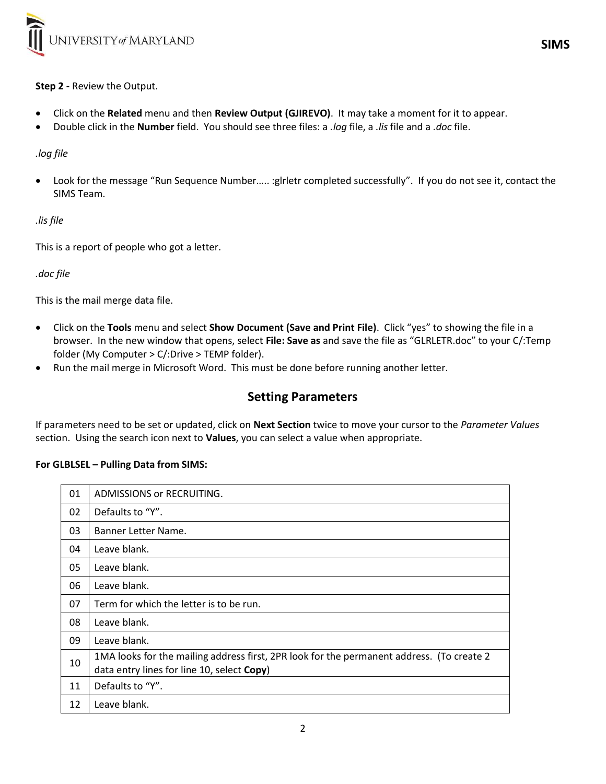

# Step 2 - Review the Output.

- Click on the Related menu and then Review Output (GJIREVO). It may take a moment for it to appear.
- Double click in the **Number** field. You should see three files: a *.loq* file, a *.lis* file and a *.doc* file.

# .log file

 Look for the message "Run Sequence Number….. :glrletr completed successfully". If you do not see it, contact the SIMS Team.

# .lis file

This is a report of people who got a letter.

.doc file

This is the mail merge data file.

- Click on the Tools menu and select Show Document (Save and Print File). Click "yes" to showing the file in a browser. In the new window that opens, select File: Save as and save the file as "GLRLETR.doc" to your C/:Temp folder (My Computer > C/:Drive > TEMP folder).
- Run the mail merge in Microsoft Word. This must be done before running another letter.

# Setting Parameters

If parameters need to be set or updated, click on Next Section twice to move your cursor to the Parameter Values section. Using the search icon next to Values, you can select a value when appropriate.

# For GLBLSEL – Pulling Data from SIMS:

| 01 | <b>ADMISSIONS or RECRUITING.</b>                                                                                                        |
|----|-----------------------------------------------------------------------------------------------------------------------------------------|
| 02 | Defaults to "Y".                                                                                                                        |
| 03 | Banner Letter Name.                                                                                                                     |
| 04 | Leave blank.                                                                                                                            |
| 05 | Leave blank.                                                                                                                            |
| 06 | Leave blank.                                                                                                                            |
| 07 | Term for which the letter is to be run.                                                                                                 |
| 08 | Leave blank.                                                                                                                            |
| 09 | Leave blank.                                                                                                                            |
| 10 | 1MA looks for the mailing address first, 2PR look for the permanent address. (To create 2<br>data entry lines for line 10, select Copy) |
| 11 | Defaults to "Y".                                                                                                                        |
| 12 | Leave blank.                                                                                                                            |